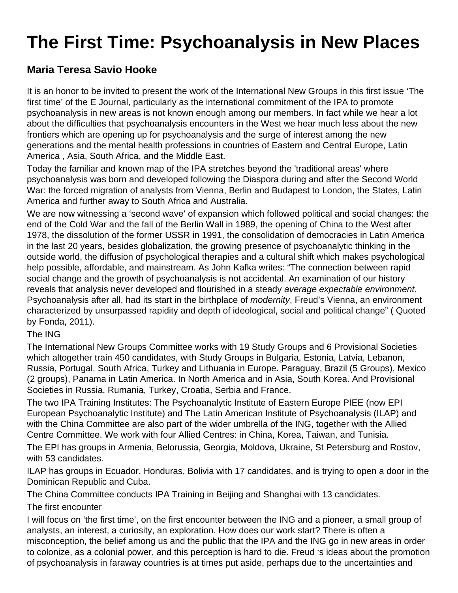# **The First Time: Psychoanalysis in New Places**

## **Maria Teresa Savio Hooke**

It is an honor to be invited to present the work of the International New Groups in this first issue 'The first time' of the E Journal, particularly as the international commitment of the IPA to promote psychoanalysis in new areas is not known enough among our members. In fact while we hear a lot about the difficulties that psychoanalysis encounters in the West we hear much less about the new frontiers which are opening up for psychoanalysis and the surge of interest among the new generations and the mental health professions in countries of Eastern and Central Europe, Latin America , Asia, South Africa, and the Middle East.

Today the familiar and known map of the IPA stretches beyond the 'traditional areas' where psychoanalysis was born and developed following the Diaspora during and after the Second World War: the forced migration of analysts from Vienna, Berlin and Budapest to London, the States, Latin America and further away to South Africa and Australia.

We are now witnessing a 'second wave' of expansion which followed political and social changes: the end of the Cold War and the fall of the Berlin Wall in 1989, the opening of China to the West after 1978, the dissolution of the former USSR in 1991, the consolidation of democracies in Latin America in the last 20 years, besides globalization, the growing presence of psychoanalytic thinking in the outside world, the diffusion of psychological therapies and a cultural shift which makes psychological help possible, affordable, and mainstream. As John Kafka writes: "The connection between rapid social change and the growth of psychoanalysis is not accidental. An examination of our history reveals that analysis never developed and flourished in a steady average expectable environment. Psychoanalysis after all, had its start in the birthplace of *modernity*, Freud's Vienna, an environment characterized by unsurpassed rapidity and depth of ideological, social and political change" ( Quoted by Fonda, 2011).

#### The ING

The International New Groups Committee works with 19 Study Groups and 6 Provisional Societies which altogether train 450 candidates, with Study Groups in Bulgaria, Estonia, Latvia, Lebanon, Russia, Portugal, South Africa, Turkey and Lithuania in Europe. Paraguay, Brazil (5 Groups), Mexico (2 groups), Panama in Latin America. In North America and in Asia, South Korea. And Provisional Societies in Russia, Rumania, Turkey, Croatia, Serbia and France.

The two IPA Training Institutes: The Psychoanalytic Institute of Eastern Europe PIEE (now EPI European Psychoanalytic Institute) and The Latin American Institute of Psychoanalysis (ILAP) and with the China Committee are also part of the wider umbrella of the ING, together with the Allied Centre Committee. We work with four Allied Centres: in China, Korea, Taiwan, and Tunisia.

The EPI has groups in Armenia, Belorussia, Georgia, Moldova, Ukraine, St Petersburg and Rostov, with 53 candidates.

ILAP has groups in Ecuador, Honduras, Bolivia with 17 candidates, and is trying to open a door in the Dominican Republic and Cuba.

The China Committee conducts IPA Training in Beijing and Shanghai with 13 candidates.

## The first encounter

I will focus on 'the first time', on the first encounter between the ING and a pioneer, a small group of analysts, an interest, a curiosity, an exploration. How does our work start? There is often a misconception, the belief among us and the public that the IPA and the ING go in new areas in order to colonize, as a colonial power, and this perception is hard to die. Freud 's ideas about the promotion of psychoanalysis in faraway countries is at times put aside, perhaps due to the uncertainties and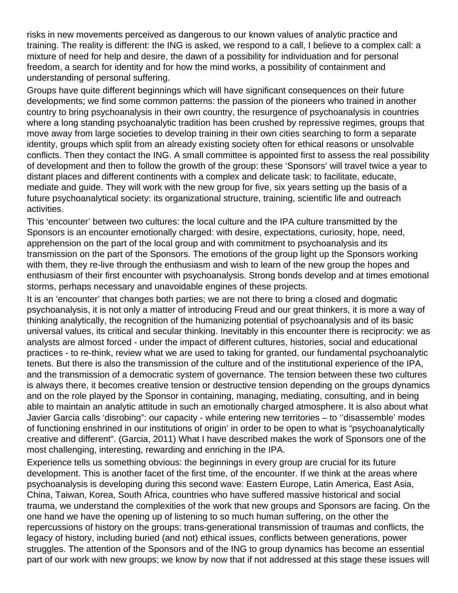risks in new movements perceived as dangerous to our known values of analytic practice and training. The reality is different: the ING is asked, we respond to a call, I believe to a complex call: a mixture of need for help and desire, the dawn of a possibility for individuation and for personal freedom, a search for identity and for how the mind works, a possibility of containment and understanding of personal suffering.

Groups have quite different beginnings which will have significant consequences on their future developments; we find some common patterns: the passion of the pioneers who trained in another country to bring psychoanalysis in their own country, the resurgence of psychoanalysis in countries where a long standing psychoanalytic tradition has been crushed by repressive regimes, groups that move away from large societies to develop training in their own cities searching to form a separate identity, groups which split from an already existing society often for ethical reasons or unsolvable conflicts. Then they contact the ING. A small committee is appointed first to assess the real possibility of development and then to follow the growth of the group: these 'Sponsors' will travel twice a year to distant places and different continents with a complex and delicate task: to facilitate, educate, mediate and guide. They will work with the new group for five, six years setting up the basis of a future psychoanalytical society: its organizational structure, training, scientific life and outreach activities.

This 'encounter' between two cultures: the local culture and the IPA culture transmitted by the Sponsors is an encounter emotionally charged: with desire, expectations, curiosity, hope, need, apprehension on the part of the local group and with commitment to psychoanalysis and its transmission on the part of the Sponsors. The emotions of the group light up the Sponsors working with them, they re-live through the enthusiasm and wish to learn of the new group the hopes and enthusiasm of their first encounter with psychoanalysis. Strong bonds develop and at times emotional storms, perhaps necessary and unavoidable engines of these projects.

It is an 'encounter' that changes both parties; we are not there to bring a closed and dogmatic psychoanalysis, it is not only a matter of introducing Freud and our great thinkers, it is more a way of thinking analytically, the recognition of the humanizing potential of psychoanalysis and of its basic universal values, its critical and secular thinking. Inevitably in this encounter there is reciprocity: we as analysts are almost forced - under the impact of different cultures, histories, social and educational practices - to re-think, review what we are used to taking for granted, our fundamental psychoanalytic tenets. But there is also the transmission of the culture and of the institutional experience of the IPA, and the transmission of a democratic system of governance. The tension between these two cultures is always there, it becomes creative tension or destructive tension depending on the groups dynamics and on the role played by the Sponsor in containing, managing, mediating, consulting, and in being able to maintain an analytic attitude in such an emotionally charged atmosphere. It is also about what Javier Garcia calls 'disrobing": our capacity - while entering new territories – to ''disassemble' modes of functioning enshrined in our institutions of origin' in order to be open to what is "psychoanalytically creative and different". (Garcia, 2011) What I have described makes the work of Sponsors one of the most challenging, interesting, rewarding and enriching in the IPA.

Experience tells us something obvious: the beginnings in every group are crucial for its future development. This is another facet of the first time, of the encounter. If we think at the areas where psychoanalysis is developing during this second wave: Eastern Europe, Latin America, East Asia, China, Taiwan, Korea, South Africa, countries who have suffered massive historical and social trauma, we understand the complexities of the work that new groups and Sponsors are facing. On the one hand we have the opening up of listening to so much human suffering, on the other the repercussions of history on the groups: trans-generational transmission of traumas and conflicts, the legacy of history, including buried (and not) ethical issues, conflicts between generations, power struggles. The attention of the Sponsors and of the ING to group dynamics has become an essential part of our work with new groups; we know by now that if not addressed at this stage these issues will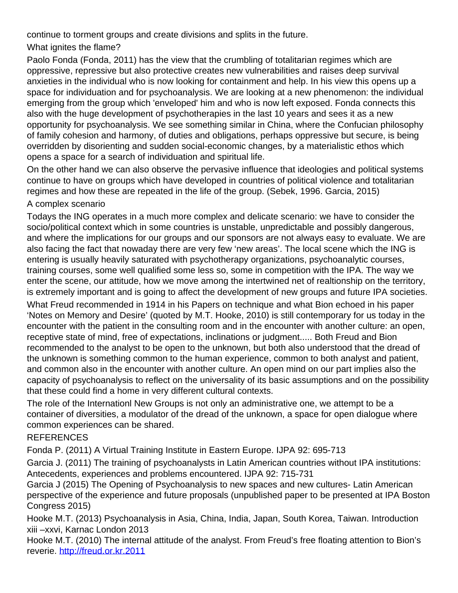continue to torment groups and create divisions and splits in the future.

## What ignites the flame?

Paolo Fonda (Fonda, 2011) has the view that the crumbling of totalitarian regimes which are oppressive, repressive but also protective creates new vulnerabilities and raises deep survival anxieties in the individual who is now looking for containment and help. In his view this opens up a space for individuation and for psychoanalysis. We are looking at a new phenomenon: the individual emerging from the group which 'enveloped' him and who is now left exposed. Fonda connects this also with the huge development of psychotherapies in the last 10 years and sees it as a new opportunity for psychoanalysis. We see something similar in China, where the Confucian philosophy of family cohesion and harmony, of duties and obligations, perhaps oppressive but secure, is being overridden by disorienting and sudden social-economic changes, by a materialistic ethos which opens a space for a search of individuation and spiritual life.

On the other hand we can also observe the pervasive influence that ideologies and political systems continue to have on groups which have developed in countries of political violence and totalitarian regimes and how these are repeated in the life of the group. (Sebek, 1996. Garcia, 2015) A complex scenario

Todays the ING operates in a much more complex and delicate scenario: we have to consider the socio/political context which in some countries is unstable, unpredictable and possibly dangerous, and where the implications for our groups and our sponsors are not always easy to evaluate. We are also facing the fact that nowaday there are very few 'new areas'. The local scene which the ING is entering is usually heavily saturated with psychotherapy organizations, psychoanalytic courses, training courses, some well qualified some less so, some in competition with the IPA. The way we enter the scene, our attitude, how we move among the intertwined net of realtionship on the territory, is extremely important and is going to affect the development of new groups and future IPA societies.

What Freud recommended in 1914 in his Papers on technique and what Bion echoed in his paper 'Notes on Memory and Desire' (quoted by M.T. Hooke, 2010) is still contemporary for us today in the encounter with the patient in the consulting room and in the encounter with another culture: an open, receptive state of mind, free of expectations, inclinations or judgment..... Both Freud and Bion recommended to the analyst to be open to the unknown, but both also understood that the dread of the unknown is something common to the human experience, common to both analyst and patient, and common also in the encounter with another culture. An open mind on our part implies also the capacity of psychoanalysis to reflect on the universality of its basic assumptions and on the possibility that these could find a home in very different cultural contexts.

The role of the Internationl New Groups is not only an administrative one, we attempt to be a container of diversities, a modulator of the dread of the unknown, a space for open dialogue where common experiences can be shared.

## REFERENCES

Fonda P. (2011) A Virtual Training Institute in Eastern Europe. IJPA 92: 695-713

Garcia J. (2011) The training of psychoanalysts in Latin American countries without IPA institutions: Antecedents, experiences and problems encountered. IJPA 92: 715-731

Garcia J (2015) The Opening of Psychoanalysis to new spaces and new cultures- Latin American perspective of the experience and future proposals (unpublished paper to be presented at IPA Boston Congress 2015)

Hooke M.T. (2013) Psychoanalysis in Asia, China, India, Japan, South Korea, Taiwan. Introduction xiii –xxvi, Karnac London 2013

Hooke M.T. (2010) The internal attitude of the analyst. From Freud's free floating attention to Bion's reverie. [http://freud.or.kr.2011](http://freud.or.kr.2011/)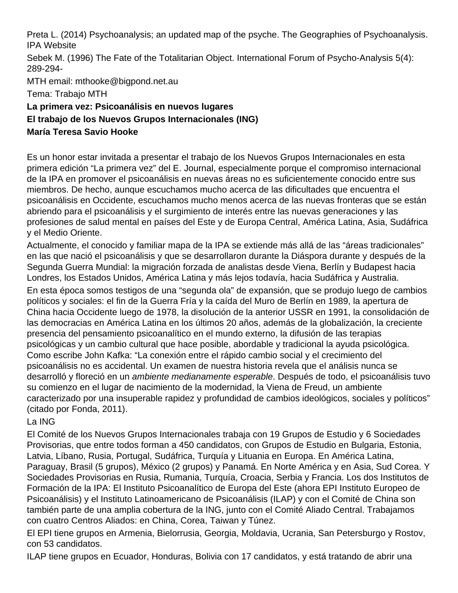Preta L. (2014) Psychoanalysis; an updated map of the psyche. The Geographies of Psychoanalysis. IPA Website

Sebek M. (1996) The Fate of the Totalitarian Object. International Forum of Psycho-Analysis 5(4): 289-294-

MTH email: mthooke@bigpond.net.au

Tema: Trabajo MTH

## **La primera vez: Psicoanálisis en nuevos lugares El trabajo de los Nuevos Grupos Internacionales (ING) María Teresa Savio Hooke**

Es un honor estar invitada a presentar el trabajo de los Nuevos Grupos Internacionales en esta primera edición "La primera vez" del E. Journal, especialmente porque el compromiso internacional de la IPA en promover el psicoanálisis en nuevas áreas no es suficientemente conocido entre sus miembros. De hecho, aunque escuchamos mucho acerca de las dificultades que encuentra el psicoanálisis en Occidente, escuchamos mucho menos acerca de las nuevas fronteras que se están abriendo para el psicoanálisis y el surgimiento de interés entre las nuevas generaciones y las profesiones de salud mental en países del Este y de Europa Central, América Latina, Asia, Sudáfrica y el Medio Oriente.

Actualmente, el conocido y familiar mapa de la IPA se extiende más allá de las "áreas tradicionales" en las que nació el psicoanálisis y que se desarrollaron durante la Diáspora durante y después de la Segunda Guerra Mundial: la migración forzada de analistas desde Viena, Berlín y Budapest hacia Londres, los Estados Unidos, América Latina y más lejos todavía, hacia Sudáfrica y Australia.

En esta época somos testigos de una "segunda ola" de expansión, que se produjo luego de cambios políticos y sociales: el fin de la Guerra Fría y la caída del Muro de Berlín en 1989, la apertura de China hacia Occidente luego de 1978, la disolución de la anterior USSR en 1991, la consolidación de las democracias en América Latina en los últimos 20 años, además de la globalización, la creciente presencia del pensamiento psicoanalítico en el mundo externo, la difusión de las terapias psicológicas y un cambio cultural que hace posible, abordable y tradicional la ayuda psicológica. Como escribe John Kafka: "La conexión entre el rápido cambio social y el crecimiento del psicoanálisis no es accidental. Un examen de nuestra historia revela que el análisis nunca se desarrolló y floreció en un ambiente medianamente esperable. Después de todo, el psicoanálisis tuvo su comienzo en el lugar de nacimiento de la modernidad, la Viena de Freud, un ambiente caracterizado por una insuperable rapidez y profundidad de cambios ideológicos, sociales y políticos" (citado por Fonda, 2011).

## La ING

El Comité de los Nuevos Grupos Internacionales trabaja con 19 Grupos de Estudio y 6 Sociedades Provisorias, que entre todos forman a 450 candidatos, con Grupos de Estudio en Bulgaria, Estonia, Latvia, Líbano, Rusia, Portugal, Sudáfrica, Turquía y Lituania en Europa. En América Latina, Paraguay, Brasil (5 grupos), México (2 grupos) y Panamá. En Norte América y en Asia, Sud Corea. Y Sociedades Provisorias en Rusia, Rumania, Turquía, Croacia, Serbia y Francia. Los dos Institutos de Formación de la IPA: El Instituto Psicoanalítico de Europa del Este (ahora EPI Instituto Europeo de Psicoanálisis) y el Instituto Latinoamericano de Psicoanálisis (ILAP) y con el Comité de China son también parte de una amplia cobertura de la ING, junto con el Comité Aliado Central. Trabajamos con cuatro Centros Aliados: en China, Corea, Taiwan y Túnez.

El EPI tiene grupos en Armenia, Bielorrusia, Georgia, Moldavia, Ucrania, San Petersburgo y Rostov, con 53 candidatos.

ILAP tiene grupos en Ecuador, Honduras, Bolivia con 17 candidatos, y está tratando de abrir una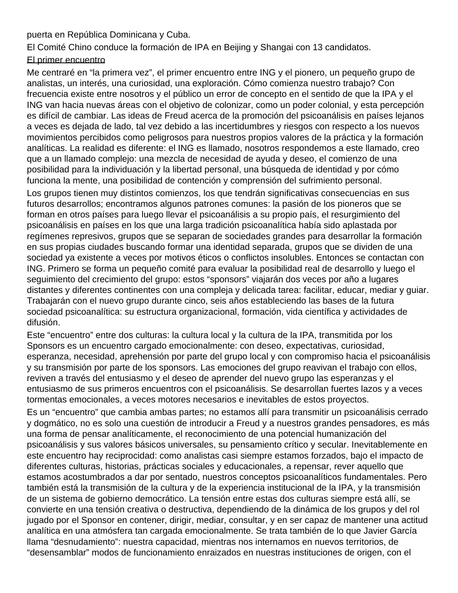puerta en República Dominicana y Cuba.

El Comité Chino conduce la formación de IPA en Beijing y Shangai con 13 candidatos.

#### El primer encuentro

Me centraré en "la primera vez", el primer encuentro entre ING y el pionero, un pequeño grupo de analistas, un interés, una curiosidad, una exploración. Cómo comienza nuestro trabajo? Con frecuencia existe entre nosotros y el público un error de concepto en el sentido de que la IPA y el ING van hacia nuevas áreas con el objetivo de colonizar, como un poder colonial, y esta percepción es difícil de cambiar. Las ideas de Freud acerca de la promoción del psicoanálisis en países lejanos a veces es dejada de lado, tal vez debido a las incertidumbres y riesgos con respecto a los nuevos movimientos percibidos como peligrosos para nuestros propios valores de la práctica y la formación analíticas. La realidad es diferente: el ING es llamado, nosotros respondemos a este llamado, creo que a un llamado complejo: una mezcla de necesidad de ayuda y deseo, el comienzo de una posibilidad para la individuación y la libertad personal, una búsqueda de identidad y por cómo funciona la mente, una posibilidad de contención y comprensión del sufrimiento personal. Los grupos tienen muy distintos comienzos, los que tendrán significativas consecuencias en sus futuros desarrollos; encontramos algunos patrones comunes: la pasión de los pioneros que se forman en otros países para luego llevar el psicoanálisis a su propio país, el resurgimiento del psicoanálisis en países en los que una larga tradición psicoanalítica había sido aplastada por regímenes represivos, grupos que se separan de sociedades grandes para desarrollar la formación en sus propias ciudades buscando formar una identidad separada, grupos que se dividen de una sociedad ya existente a veces por motivos éticos o conflictos insolubles. Entonces se contactan con ING. Primero se forma un pequeño comité para evaluar la posibilidad real de desarrollo y luego el seguimiento del crecimiento del grupo: estos "sponsors" viajarán dos veces por año a lugares distantes y diferentes continentes con una compleja y delicada tarea: facilitar, educar, mediar y guiar. Trabajarán con el nuevo grupo durante cinco, seis años estableciendo las bases de la futura sociedad psicoanalítica: su estructura organizacional, formación, vida científica y actividades de difusión.

Este "encuentro" entre dos culturas: la cultura local y la cultura de la IPA, transmitida por los Sponsors es un encuentro cargado emocionalmente: con deseo, expectativas, curiosidad, esperanza, necesidad, aprehensión por parte del grupo local y con compromiso hacia el psicoanálisis y su transmisión por parte de los sponsors. Las emociones del grupo reavivan el trabajo con ellos, reviven a través del entusiasmo y el deseo de aprender del nuevo grupo las esperanzas y el entusiasmo de sus primeros encuentros con el psicoanálisis. Se desarrollan fuertes lazos y a veces tormentas emocionales, a veces motores necesarios e inevitables de estos proyectos.

Es un "encuentro" que cambia ambas partes; no estamos allí para transmitir un psicoanálisis cerrado y dogmático, no es solo una cuestión de introducir a Freud y a nuestros grandes pensadores, es más una forma de pensar analíticamente, el reconocimiento de una potencial humanización del psicoanálisis y sus valores básicos universales, su pensamiento crítico y secular. Inevitablemente en este encuentro hay reciprocidad: como analistas casi siempre estamos forzados, bajo el impacto de diferentes culturas, historias, prácticas sociales y educacionales, a repensar, rever aquello que estamos acostumbrados a dar por sentado, nuestros conceptos psicoanalíticos fundamentales. Pero también está la transmisión de la cultura y de la experiencia institucional de la IPA, y la transmisión de un sistema de gobierno democrático. La tensión entre estas dos culturas siempre está allí, se convierte en una tensión creativa o destructiva, dependiendo de la dinámica de los grupos y del rol jugado por el Sponsor en contener, dirigir, mediar, consultar, y en ser capaz de mantener una actitud analítica en una atmósfera tan cargada emocionalmente. Se trata también de lo que Javier García llama "desnudamiento": nuestra capacidad, mientras nos internamos en nuevos territorios, de "desensamblar" modos de funcionamiento enraizados en nuestras instituciones de origen, con el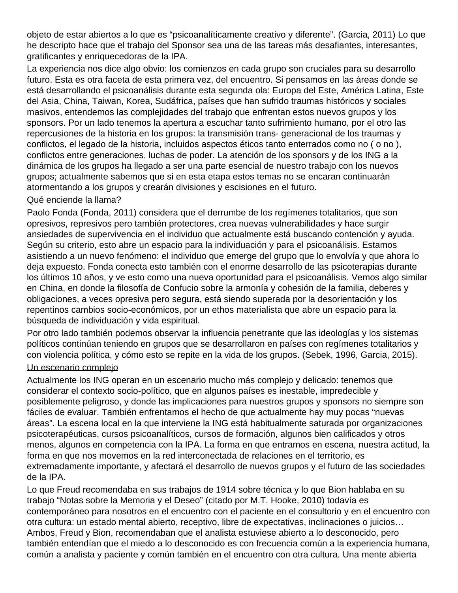objeto de estar abiertos a lo que es "psicoanalíticamente creativo y diferente". (Garcia, 2011) Lo que he descripto hace que el trabajo del Sponsor sea una de las tareas más desafiantes, interesantes, gratificantes y enriquecedoras de la IPA.

La experiencia nos dice algo obvio: los comienzos en cada grupo son cruciales para su desarrollo futuro. Esta es otra faceta de esta primera vez, del encuentro. Si pensamos en las áreas donde se está desarrollando el psicoanálisis durante esta segunda ola: Europa del Este, América Latina, Este del Asia, China, Taiwan, Korea, Sudáfrica, países que han sufrido traumas históricos y sociales masivos, entendemos las complejidades del trabajo que enfrentan estos nuevos grupos y los sponsors. Por un lado tenemos la apertura a escuchar tanto sufrimiento humano, por el otro las repercusiones de la historia en los grupos: la transmisión trans- generacional de los traumas y conflictos, el legado de la historia, incluidos aspectos éticos tanto enterrados como no ( o no ), conflictos entre generaciones, luchas de poder. La atención de los sponsors y de los ING a la dinámica de los grupos ha llegado a ser una parte esencial de nuestro trabajo con los nuevos grupos; actualmente sabemos que si en esta etapa estos temas no se encaran continuarán atormentando a los grupos y crearán divisiones y escisiones en el futuro.

#### Qué enciende la llama?

Paolo Fonda (Fonda, 2011) considera que el derrumbe de los regímenes totalitarios, que son opresivos, represivos pero también protectores, crea nuevas vulnerabilidades y hace surgir ansiedades de supervivencia en el individuo que actualmente está buscando contención y ayuda. Según su criterio, esto abre un espacio para la individuación y para el psicoanálisis. Estamos asistiendo a un nuevo fenómeno: el individuo que emerge del grupo que lo envolvía y que ahora lo deja expuesto. Fonda conecta esto también con el enorme desarrollo de las psicoterapias durante los últimos 10 años, y ve esto como una nueva oportunidad para el psicoanálisis. Vemos algo similar en China, en donde la filosofía de Confucio sobre la armonía y cohesión de la familia, deberes y obligaciones, a veces opresiva pero segura, está siendo superada por la desorientación y los repentinos cambios socio-económicos, por un ethos materialista que abre un espacio para la búsqueda de individuación y vida espiritual.

Por otro lado también podemos observar la influencia penetrante que las ideologías y los sistemas políticos continúan teniendo en grupos que se desarrollaron en países con regímenes totalitarios y con violencia política, y cómo esto se repite en la vida de los grupos. (Sebek, 1996, Garcia, 2015).

#### Un escenario complejo

Actualmente los ING operan en un escenario mucho más complejo y delicado: tenemos que considerar el contexto socio-político, que en algunos países es inestable, impredecible y posiblemente peligroso, y donde las implicaciones para nuestros grupos y sponsors no siempre son fáciles de evaluar. También enfrentamos el hecho de que actualmente hay muy pocas "nuevas áreas". La escena local en la que interviene la ING está habitualmente saturada por organizaciones psicoterapéuticas, cursos psicoanalíticos, cursos de formación, algunos bien calificados y otros menos, algunos en competencia con la IPA. La forma en que entramos en escena, nuestra actitud, la forma en que nos movemos en la red interconectada de relaciones en el territorio, es extremadamente importante, y afectará el desarrollo de nuevos grupos y el futuro de las sociedades de la IPA.

Lo que Freud recomendaba en sus trabajos de 1914 sobre técnica y lo que Bion hablaba en su trabajo "Notas sobre la Memoria y el Deseo" (citado por M.T. Hooke, 2010) todavía es contemporáneo para nosotros en el encuentro con el paciente en el consultorio y en el encuentro con otra cultura: un estado mental abierto, receptivo, libre de expectativas, inclinaciones o juicios… Ambos, Freud y Bion, recomendaban que el analista estuviese abierto a lo desconocido, pero también entendían que el miedo a lo desconocido es con frecuencia común a la experiencia humana, común a analista y paciente y común también en el encuentro con otra cultura. Una mente abierta